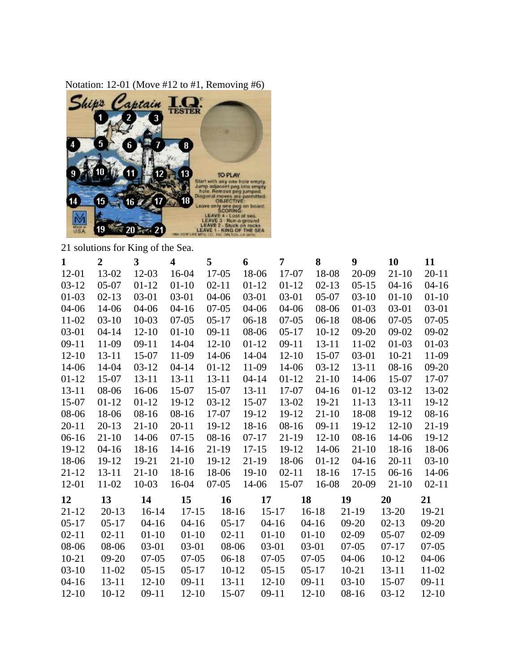

21 solutions for King of the Sea.

| $\mathbf{1}$ | $\overline{2}$ | 3         | $\overline{\mathbf{4}}$ | 5         | 6         | 7         | 8         | 9         | 10        | 11        |
|--------------|----------------|-----------|-------------------------|-----------|-----------|-----------|-----------|-----------|-----------|-----------|
| $12 - 01$    | 13-02          | $12 - 03$ | 16-04                   | $17 - 05$ | 18-06     | 17-07     | 18-08     | 20-09     | $21 - 10$ | $20 - 11$ |
| $03-12$      | $05-07$        | $01 - 12$ | $01 - 10$               | $02 - 11$ | $01 - 12$ | $01 - 12$ | $02 - 13$ | $05-15$   | $04 - 16$ | $04 - 16$ |
| $01-03$      | $02 - 13$      | $03 - 01$ | $03 - 01$               | $04 - 06$ | $03 - 01$ | $03-01$   | $05-07$   | $03-10$   | $01 - 10$ | $01 - 10$ |
| $04 - 06$    | 14-06          | $04 - 06$ | $04 - 16$               | $07-05$   | 04-06     | $04 - 06$ | 08-06     | $01-03$   | $03 - 01$ | 03-01     |
| 11-02        | $03-10$        | $10 - 03$ | $07 - 05$               | $05-17$   | $06-18$   | $07-05$   | $06-18$   | 08-06     | $07-05$   | $07-05$   |
| $03 - 01$    | $04 - 14$      | $12 - 10$ | $01 - 10$               | $09-11$   | 08-06     | $05-17$   | $10 - 12$ | $09 - 20$ | $09-02$   | $09-02$   |
| $09-11$      | 11-09          | $09-11$   | 14-04                   | $12 - 10$ | $01-12$   | $09-11$   | $13 - 11$ | 11-02     | $01-03$   | $01-03$   |
| $12 - 10$    | $13 - 11$      | 15-07     | 11-09                   | 14-06     | 14-04     | $12 - 10$ | 15-07     | $03 - 01$ | $10 - 21$ | 11-09     |
| 14-06        | 14-04          | $03-12$   | $04 - 14$               | $01-12$   | 11-09     | 14-06     | $03 - 12$ | $13 - 11$ | $08-16$   | $09 - 20$ |
| $01-12$      | 15-07          | $13 - 11$ | $13 - 11$               | $13 - 11$ | $04 - 14$ | $01 - 12$ | $21-10$   | 14-06     | $15-07$   | 17-07     |
| $13 - 11$    | 08-06          | 16-06     | $15-07$                 | $15-07$   | $13 - 11$ | 17-07     | $04 - 16$ | $01 - 12$ | $03-12$   | 13-02     |
| 15-07        | $01-12$        | $01 - 12$ | 19-12                   | $03-12$   | 15-07     | 13-02     | 19-21     | $11 - 13$ | $13 - 11$ | 19-12     |
| 08-06        | 18-06          | $08-16$   | $08-16$                 | 17-07     | 19-12     | 19-12     | $21-10$   | 18-08     | 19-12     | $08 - 16$ |
| $20 - 11$    | $20 - 13$      | $21-10$   | $20 - 11$               | $19 - 12$ | 18-16     | $08 - 16$ | $09-11$   | 19-12     | $12 - 10$ | 21-19     |
| $06-16$      | $21 - 10$      | 14-06     | $07-15$                 | $08-16$   | $07 - 17$ | $21-19$   | $12 - 10$ | $08-16$   | 14-06     | 19-12     |
| 19-12        | $04 - 16$      | 18-16     | $14-16$                 | $21-19$   | $17 - 15$ | $19 - 12$ | 14-06     | $21 - 10$ | $18-16$   | 18-06     |
| 18-06        | 19-12          | 19-21     | $21-10$                 | 19-12     | $21-19$   | 18-06     | $01-12$   | $04 - 16$ | $20 - 11$ | $03-10$   |
| $21 - 12$    | $13 - 11$      | $21 - 10$ | 18-16                   | 18-06     | $19-10$   | $02 - 11$ | 18-16     | $17 - 15$ | $06-16$   | 14-06     |
| 12-01        | 11-02          | $10 - 03$ | 16-04                   | $07-05$   | 14-06     | $15-07$   | 16-08     | 20-09     | $21 - 10$ | $02 - 11$ |
| 12           | 13             | 14        | 15                      | 16        | 17        | 18        |           | 19        | 20        | 21        |
| $21 - 12$    | $20 - 13$      | $16-14$   | $17 - 15$               | 18-16     | $15 - 17$ |           | $16-18$   | $21-19$   | $13 - 20$ | 19-21     |
| $05-17$      | $05-17$        | $04 - 16$ | $04 - 16$               | $05-17$   | $04-16$   |           | $04 - 16$ | $09 - 20$ | $02-13$   | $09 - 20$ |
| $02 - 11$    | $02 - 11$      | $01-10$   | $01-10$                 | $02 - 11$ | $01-10$   |           | $01-10$   | $02-09$   | $05-07$   | $02-09$   |
| 08-06        | 08-06          | $03 - 01$ | $03 - 01$               | 08-06     | $03 - 01$ |           | $03 - 01$ | $07-05$   | $07-17$   | $07 - 05$ |
| $10 - 21$    | $09 - 20$      | $07 - 05$ | $07-05$                 | $06-18$   | $07-05$   |           | $07-05$   | $04 - 06$ | $10-12$   | $04 - 06$ |
| $03-10$      | $11 - 02$      | $05-15$   | $05-17$                 | $10 - 12$ | $05-15$   |           | $05-17$   | $10 - 21$ | $13 - 11$ | 11-02     |
| $04 - 16$    | $13 - 11$      | $12 - 10$ | $09-11$                 | $13 - 11$ | $12 - 10$ |           | $09-11$   | $03-10$   | 15-07     | $09-11$   |
| $12 - 10$    | $10 - 12$      | $09-11$   | $12 - 10$               | 15-07     | $09-11$   |           | $12 - 10$ | $08 - 16$ | $03-12$   | $12 - 10$ |